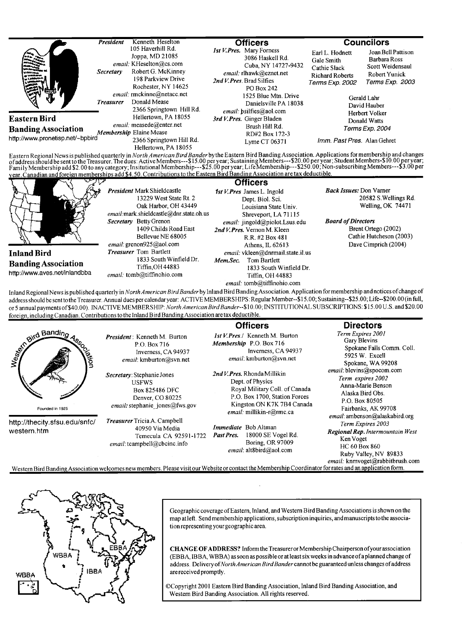|                                                                                                                                                     | <b>President</b> | Kenneth Heselton                                                                                                                                                                                          | <b>Officers</b>                                                                                                                                                                                                                                                                                                    |                                                                                            | <b>Councilors</b>                                                                          |
|-----------------------------------------------------------------------------------------------------------------------------------------------------|------------------|-----------------------------------------------------------------------------------------------------------------------------------------------------------------------------------------------------------|--------------------------------------------------------------------------------------------------------------------------------------------------------------------------------------------------------------------------------------------------------------------------------------------------------------------|--------------------------------------------------------------------------------------------|--------------------------------------------------------------------------------------------|
| <b>AND POSTEROOM</b> OF<br><b>MISSION</b><br>a wandan w<br>舜<br>Ť<br>Eastern Bird<br><b>Banding Association</b><br>http://www.pronetisp.net/~bpbird | <b>Secretary</b> | 105 Haverhill Rd.<br>Joppa, MD 21085<br>email: KHeselton@cs.com<br>Robert G. McKinney<br>198 Parkview Drive<br>Rochester, NY 14625                                                                        | <b>Ist V. Pres.</b> Mary Forness<br>3086 Haskell Rd.<br>Cuba, NY 14727-9432<br>email: rlhawk@eznet.net<br>2nd V. Pres. Brad Silfies<br>PO Box 242<br>1525 Blue Mtn. Drive<br>Danielsville PA 18038<br>email: bsilfies@aol.com<br>3rd V. Pres. Ginger Bladen<br>Brush Hill Rd.<br>RD#2 Box 172-3<br>Lyme $CT 06371$ | Earl L. Hodnett<br>Gale Smith<br>Cathie Slack<br><b>Richard Roberts</b><br>Terms Exp. 2002 | Joan Bell Pattison<br>Barbara Ross<br>Scott Weidensaul<br>Robert Yunick<br>Terms Exp. 2003 |
|                                                                                                                                                     | <b>Treasurer</b> | email: rmckinne@netacc.net<br>Donald Mease<br>2366 Springtown Hill Rd.<br>Hellertown, PA 18055<br>email: measede@enter.net<br>Membership Elaine Mease<br>2366 Springtown Hill Rd.<br>Hellertown, PA 18055 |                                                                                                                                                                                                                                                                                                                    | Gerald Lahr<br>David Hauber<br>Herbert Volker<br>Donald Watts<br>Terms Exp. 2004           |                                                                                            |
|                                                                                                                                                     |                  |                                                                                                                                                                                                           |                                                                                                                                                                                                                                                                                                                    |                                                                                            |                                                                                            |
|                                                                                                                                                     |                  |                                                                                                                                                                                                           |                                                                                                                                                                                                                                                                                                                    | Imm. Past Pres. Alan Gehret                                                                |                                                                                            |

Eastern Regional News is published quarterly in *North American Bird Bander* by the Eastern Bird Banding Association. Applications for membership and changes<br>of address should be sent to the Treasurer. The dues: Active Mem

email:mark.shieldcastle@dnr.state.oh.us Secretary Betty Grenon 1409 Childs Road East email: grenon925@aol.com<br>Treasurer Tom Bartlett **Inland Bird** Treasurer Tom Bartlett email: vkleen@dnrmail.state.il.us<br> **Pop ding Association** 1833 South Winfield Dr. *Mem.Sec.* Tom Bartlett 1833 South Winfield Dr.<br>Tiffin, OH 44883 **Banding Association** 1833 South Winterd Dr. *Mem.Sec.* 1 om Bartlett<br>1833 South Winfield Dr. 1833 South Winfield Dr. **1833 South Winfield Dr.** 2833 South Winfield Dr.<br>1833 South Winfield Dr. 2883 Couth Winfield Dr. 2883 C email: tomb@tiffinohio.com

President Mark Shieldcastle

13229 West State Rt. 2

Oak Harbor, OH 43449

**Officers** 1st V. Pres James L. Ingold Dept. Biol. Sci. Louisiana State Univ. Shreveport, LA 71115 email: jingold@piolot.Lsus.edu 2nd V. Pres. Vernon M. Kleen **Bellevue NE 68005**<br> **Bellevue NE 68005**<br> **R.R. #2 Box 481**<br> **Athens, IL 62613**<br> **Dave Cimprich (2004)** email: tomb@tiffinohio.com

#### Back Issues: Don Varner 20582 S. Wellings Rd. Welling, OK 74471

**Board of Directors** Brent Ortego (2002)

**Inland Regional News is published quarterly in North American BirdBander by Inland Bird Banding As sociation. Application for membership and notices ofchange of addresshould be sent tothe Treasurer. Annual dues per calendaryear: ACTIVE MEMBERSHIPS: RegularMember--\$15.00; Sustaining--S25.00; Life--S200.00 (in full, or 5 annual payments of \$40.00). INACTIVE MEMBERSHIP: North American BirdBander--\$10.00; INSTITUTIONAL SUBSCRIPTIONS: \$15.00 U.S. and \$20.00**  foreign, including Canadian. Contributions to the Inland Bird Banding Association are tax deductible.



Founded in 1925

**http://thecity.sfsu.edu/snfc/ western.htm** 

**President: Kenneth M. Burton P.O. Box716 Inverness, CA 94937**  email: kmburton@svn.net

**Secretary: Stephanie Jones USFWS Box 825486 DFC Denver, CO 80225**   $email: stephanie_jones@fws.gov$ 

**Treasurer Tricia A. Campbell 40950 Via Media Temecula CA 92591-1722**   $email$ : tcampbell@cbcinc.info

**Ist V. Pres./ Kenneth M. Burton Membership P.O. Box 716 Inverness, CA 94937**   $email:$  kmburton@svn.net

**Officers** 

**2nd V. Pres. Rhonda Millikin Dept. of Physics Royal Military Coil. of Canada P.O. Box 1700, Station Forces Kingston ON K7K 7B4 Canada**   $email$ : millikin-r@rmc.ca

**Immediate Bob Altman**  Past Pres. 18000 SE Vogel Rd. **Boring, OR 97009**  email: alt8bird@aol.com

### **Directors**

**Term Expires 2001 Gary Blevins Spokane Falls Comm. Coil. 5925 W. Excell Spokane, WA 99208**   $email:$  blevins@spocom.com **Term expires 2002 Anna-Marie Benson Alaska Bird Obs. P.O. Box 80505 Fairbanks, AK 99708**   $email:$  ambenson@alaskabird.org **Term Expires 2003 Regional Rep. Intermountain West Ken Voget HC 60 Box 860 Ruby Valley, NV 89833**  email: knmvoget@rabbitbrush.com

Western Bird Banding Association welcomes new members. Please visit our Website or contact the Membership Coordinator for rates and an application form.



Geographic coverage of Eastern, Inland, and Western Bird Banding Associations is shown on the map at left. Send membership applications, subscription inquiries, and manuscripts to the associa**tion representing your geographic area.** 

**CHANGE OFADDRESS? Informthe Treasurer or Membership Chairperson ofyour association (EBBA, IBBA, WBBA) as soon as possible or at least six weeks in advance of a planned change of**  address. Delivery of North American Bird Bander cannot be guaranteed unless changes of address **are received promptly.** 

**¸Copyright 2001 Eastem Bird Banding Association, Inland Bird Banding Association, and Westem Bird Banding Association. All rights reserved.**